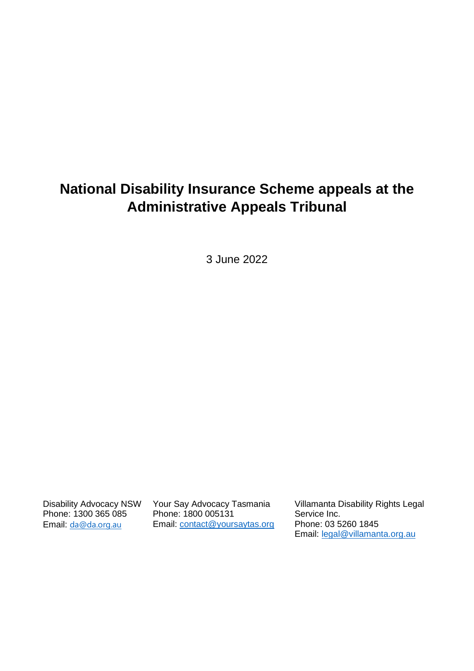# **National Disability Insurance Scheme appeals at the Administrative Appeals Tribunal**

3 June 2022

Disability Advocacy NSW Phone: 1300 365 085 Email: [da@da.org.au](mailto:da@da.org.au)

Your Say Advocacy Tasmania Phone: 1800 005131 Email: [contact@yoursaytas.org](mailto:contact@yoursaytas.org) Villamanta Disability Rights Legal Service Inc. Phone: 03 5260 1845 Email: [legal@villamanta.org.au](mailto:legal@villamanta.org.au)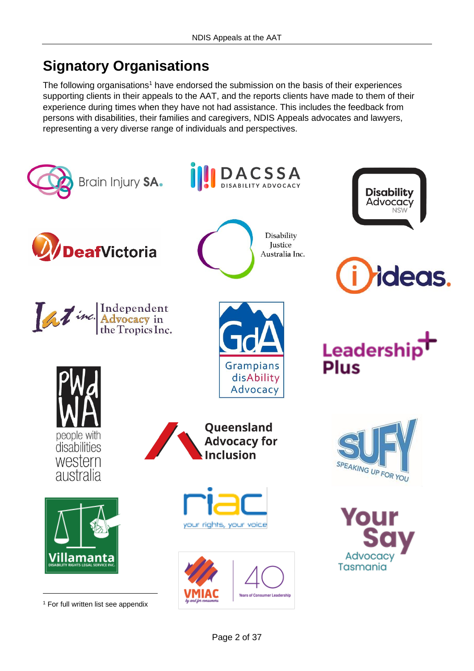# **Signatory Organisations**

The following organisations<sup>1</sup> have endorsed the submission on the basis of their experiences supporting clients in their appeals to the AAT, and the reports clients have made to them of their experience during times when they have not had assistance. This includes the feedback from persons with disabilities, their families and caregivers, NDIS Appeals advocates and lawyers, representing a very diverse range of individuals and perspectives.

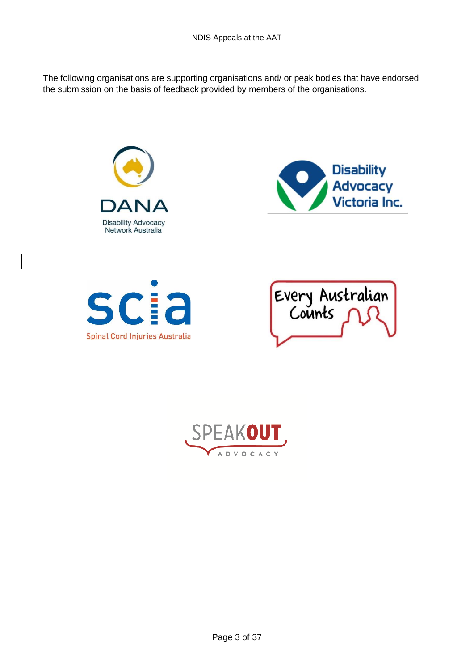The following organisations are supporting organisations and/ or peak bodies that have endorsed the submission on the basis of feedback provided by members of the organisations.



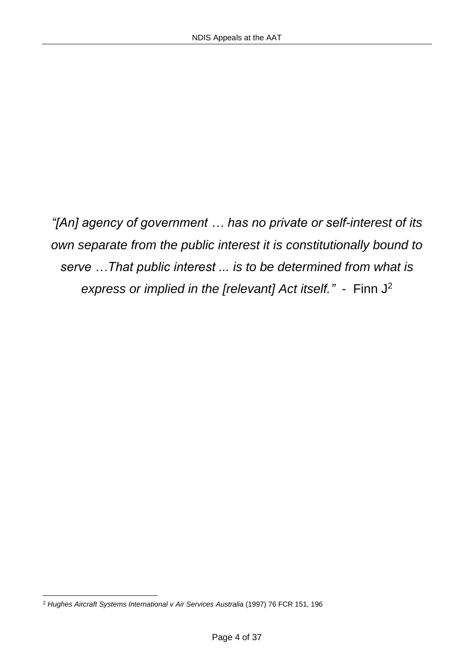*"[An] agency of government … has no private or self-interest of its own separate from the public interest it is constitutionally bound to serve …That public interest ... is to be determined from what is express or implied in the [relevant] Act itself."* - Finn J<sup>2</sup>

<sup>2</sup> *Hughes Aircraft Systems International v Air Services Australia* (1997) 76 FCR 151, 196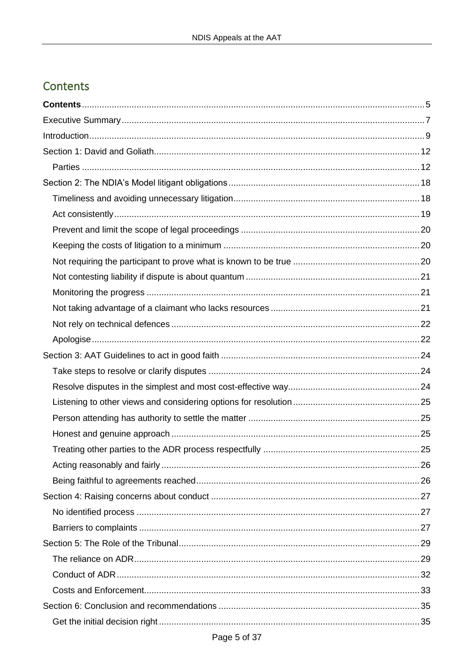# <span id="page-4-0"></span>Contents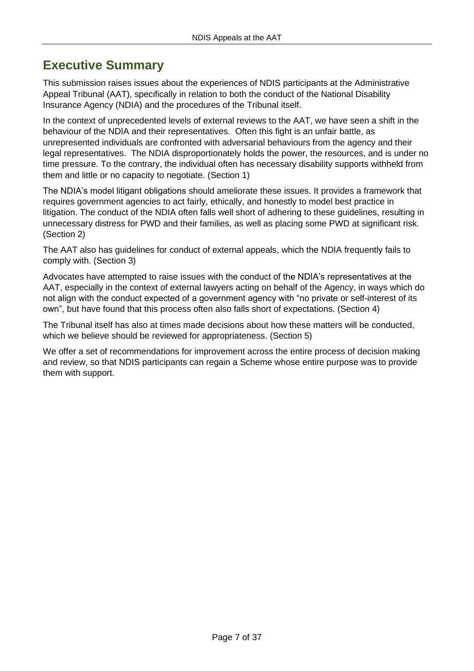# <span id="page-6-0"></span>**Executive Summary**

This submission raises issues about the experiences of NDIS participants at the Administrative Appeal Tribunal (AAT), specifically in relation to both the conduct of the National Disability Insurance Agency (NDIA) and the procedures of the Tribunal itself.

In the context of unprecedented levels of external reviews to the AAT, we have seen a shift in the behaviour of the NDIA and their representatives. Often this fight is an unfair battle, as unrepresented individuals are confronted with adversarial behaviours from the agency and their legal representatives. The NDIA disproportionately holds the power, the resources, and is under no time pressure. To the contrary, the individual often has necessary disability supports withheld from them and little or no capacity to negotiate. (Section 1)

The NDIA's model litigant obligations should ameliorate these issues. It provides a framework that requires government agencies to act fairly, ethically, and honestly to model best practice in litigation. The conduct of the NDIA often falls well short of adhering to these guidelines, resulting in unnecessary distress for PWD and their families, as well as placing some PWD at significant risk. (Section 2)

The AAT also has guidelines for conduct of external appeals, which the NDIA frequently fails to comply with. (Section 3)

Advocates have attempted to raise issues with the conduct of the NDIA's representatives at the AAT, especially in the context of external lawyers acting on behalf of the Agency, in ways which do not align with the conduct expected of a government agency with "no private or self-interest of its own", but have found that this process often also falls short of expectations. (Section 4)

The Tribunal itself has also at times made decisions about how these matters will be conducted, which we believe should be reviewed for appropriateness. (Section 5)

We offer a set of recommendations for improvement across the entire process of decision making and review, so that NDIS participants can regain a Scheme whose entire purpose was to provide them with support.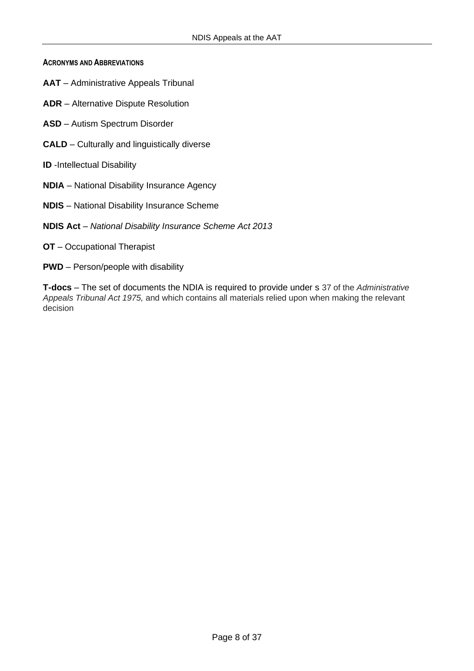**ACRONYMS AND ABBREVIATIONS**

- **AAT** Administrative Appeals Tribunal
- **ADR** Alternative Dispute Resolution
- **ASD** Autism Spectrum Disorder
- **CALD** Culturally and linguistically diverse
- **ID** -Intellectual Disability
- **NDIA** National Disability Insurance Agency
- **NDIS** National Disability Insurance Scheme
- **NDIS Act** *National Disability Insurance Scheme Act 2013*
- **OT** Occupational Therapist
- **PWD** Person/people with disability

**T-docs** – The set of documents the NDIA is required to provide under s 37 of the *Administrative Appeals Tribunal Act 1975,* and which contains all materials relied upon when making the relevant decision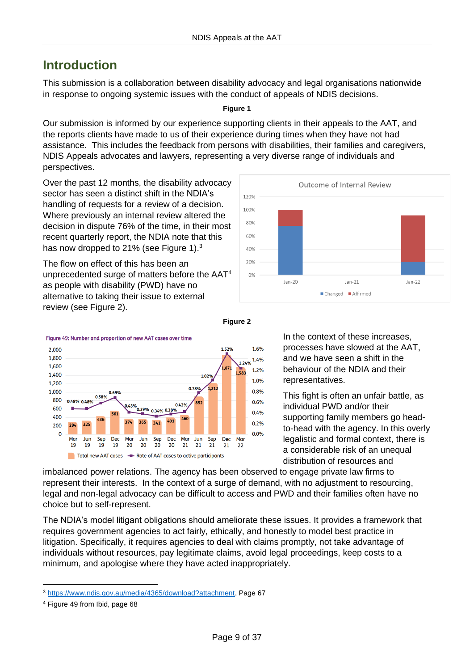# <span id="page-8-0"></span>**Introduction**

This submission is a collaboration between disability advocacy and legal organisations nationwide in response to ongoing systemic issues with the conduct of appeals of NDIS decisions.

### **Figure 1**

Our submission is informed by our experience supporting clients in their appeals to the AAT, and the reports clients have made to us of their experience during times when they have not had assistance. This includes the feedback from persons with disabilities, their families and caregivers, NDIS Appeals advocates and lawyers, representing a very diverse range of individuals and perspectives.

Over the past 12 months, the disability advocacy sector has seen a distinct shift in the NDIA's handling of requests for a review of a decision. Where previously an internal review altered the decision in dispute 76% of the time, in their most recent quarterly report, the NDIA note that this has now dropped to 21% (see Figure 1).<sup>3</sup>

The flow on effect of this has been an unprecedented surge of matters before the AAT<sup>4</sup> as people with disability (PWD) have no alternative to taking their issue to external review (see Figure 2).





**Figure 2**

In the context of these increases, processes have slowed at the AAT, and we have seen a shift in the behaviour of the NDIA and their representatives.

This fight is often an unfair battle, as individual PWD and/or their supporting family members go headto-head with the agency. In this overly legalistic and formal context, there is a considerable risk of an unequal distribution of resources and

imbalanced power relations. The agency has been observed to engage private law firms to represent their interests. In the context of a surge of demand, with no adjustment to resourcing, legal and non-legal advocacy can be difficult to access and PWD and their families often have no choice but to self-represent.

The NDIA's model litigant obligations should ameliorate these issues. It provides a framework that requires government agencies to act fairly, ethically, and honestly to model best practice in litigation. Specifically, it requires agencies to deal with claims promptly, not take advantage of individuals without resources, pay legitimate claims, avoid legal proceedings, keep costs to a minimum, and apologise where they have acted inappropriately.

<sup>3</sup> [https://www.ndis.gov.au/media/4365/download?attachment,](https://www.ndis.gov.au/media/4365/download?attachment) Page 67

<sup>4</sup> Figure 49 from Ibid, page 68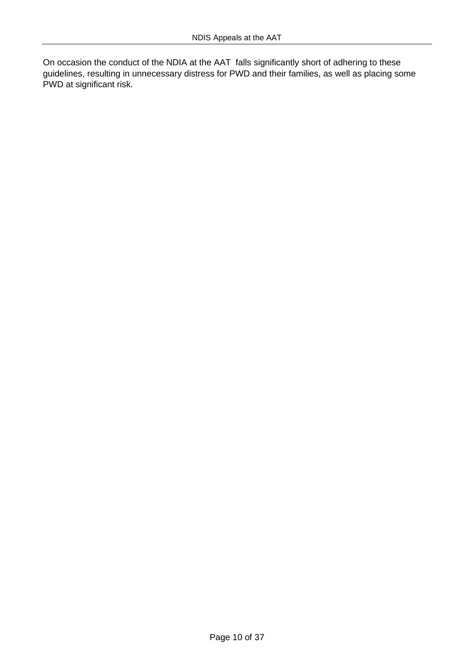On occasion the conduct of the NDIA at the AAT falls significantly short of adhering to these guidelines, resulting in unnecessary distress for PWD and their families, as well as placing some PWD at significant risk.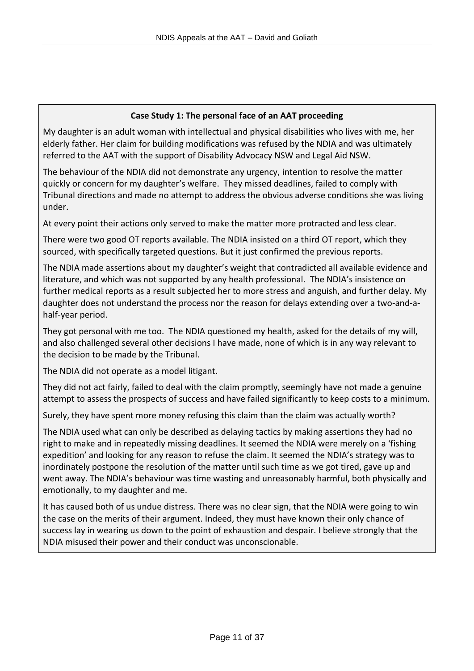### **Case Study 1: The personal face of an AAT proceeding**

My daughter is an adult woman with intellectual and physical disabilities who lives with me, her elderly father. Her claim for building modifications was refused by the NDIA and was ultimately referred to the AAT with the support of Disability Advocacy NSW and Legal Aid NSW.

The behaviour of the NDIA did not demonstrate any urgency, intention to resolve the matter quickly or concern for my daughter's welfare. They missed deadlines, failed to comply with Tribunal directions and made no attempt to address the obvious adverse conditions she was living under.

At every point their actions only served to make the matter more protracted and less clear.

There were two good OT reports available. The NDIA insisted on a third OT report, which they sourced, with specifically targeted questions. But it just confirmed the previous reports.

The NDIA made assertions about my daughter's weight that contradicted all available evidence and literature, and which was not supported by any health professional. The NDIA's insistence on further medical reports as a result subjected her to more stress and anguish, and further delay. My daughter does not understand the process nor the reason for delays extending over a two-and-ahalf-year period.

They got personal with me too. The NDIA questioned my health, asked for the details of my will, and also challenged several other decisions I have made, none of which is in any way relevant to the decision to be made by the Tribunal.

The NDIA did not operate as a model litigant.

They did not act fairly, failed to deal with the claim promptly, seemingly have not made a genuine attempt to assess the prospects of success and have failed significantly to keep costs to a minimum.

Surely, they have spent more money refusing this claim than the claim was actually worth?

The NDIA used what can only be described as delaying tactics by making assertions they had no right to make and in repeatedly missing deadlines. It seemed the NDIA were merely on a 'fishing expedition' and looking for any reason to refuse the claim. It seemed the NDIA's strategy was to inordinately postpone the resolution of the matter until such time as we got tired, gave up and went away. The NDIA's behaviour was time wasting and unreasonably harmful, both physically and emotionally, to my daughter and me.

It has caused both of us undue distress. There was no clear sign, that the NDIA were going to win the case on the merits of their argument. Indeed, they must have known their only chance of success lay in wearing us down to the point of exhaustion and despair. I believe strongly that the NDIA misused their power and their conduct was unconscionable.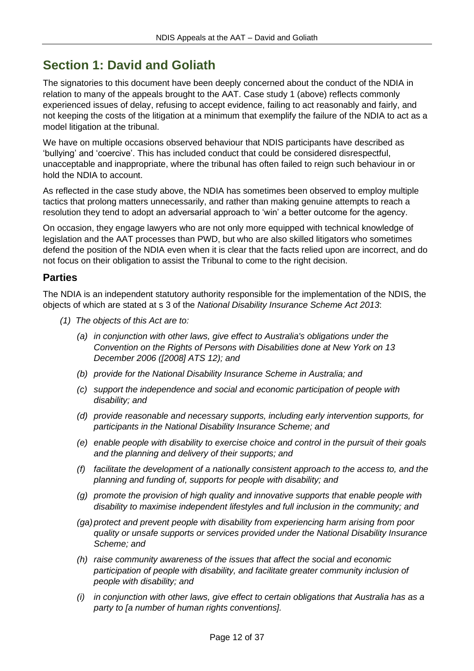# <span id="page-11-0"></span>**Section 1: David and Goliath**

The signatories to this document have been deeply concerned about the conduct of the NDIA in relation to many of the appeals brought to the AAT. Case study 1 (above) reflects commonly experienced issues of delay, refusing to accept evidence, failing to act reasonably and fairly, and not keeping the costs of the litigation at a minimum that exemplify the failure of the NDIA to act as a model litigation at the tribunal.

We have on multiple occasions observed behaviour that NDIS participants have described as 'bullying' and 'coercive'. This has included conduct that could be considered disrespectful, unacceptable and inappropriate, where the tribunal has often failed to reign such behaviour in or hold the NDIA to account.

As reflected in the case study above, the NDIA has sometimes been observed to employ multiple tactics that prolong matters unnecessarily, and rather than making genuine attempts to reach a resolution they tend to adopt an adversarial approach to 'win' a better outcome for the agency.

On occasion, they engage lawyers who are not only more equipped with technical knowledge of legislation and the AAT processes than PWD, but who are also skilled litigators who sometimes defend the position of the NDIA even when it is clear that the facts relied upon are incorrect, and do not focus on their obligation to assist the Tribunal to come to the right decision.

## <span id="page-11-1"></span>**Parties**

The NDIA is an independent statutory authority responsible for the implementation of the NDIS, the objects of which are stated at s 3 of the *National Disability Insurance Scheme Act 2013*:

- *(1) The objects of this Act are to:*
	- *(a) in conjunction with other laws, give effect to Australia's obligations under the Convention on the Rights of Persons with Disabilities done at New York on 13 December 2006 ([2008] ATS 12); and*
	- *(b) provide for the National Disability Insurance Scheme in Australia; and*
	- *(c) support the independence and social and economic participation of people with disability; and*
	- *(d) provide reasonable and necessary supports, including early intervention supports, for participants in the National Disability Insurance Scheme; and*
	- *(e) enable people with disability to exercise choice and control in the pursuit of their goals and the planning and delivery of their supports; and*
	- *(f) facilitate the development of a nationally consistent approach to the access to, and the planning and funding of, supports for people with disability; and*
	- *(g) promote the provision of high quality and innovative supports that enable people with disability to maximise independent lifestyles and full inclusion in the community; and*
	- *(ga) protect and prevent people with disability from experiencing harm arising from poor quality or unsafe supports or services provided under the National Disability Insurance Scheme; and*
	- *(h) raise community awareness of the issues that affect the social and economic participation of people with disability, and facilitate greater community inclusion of people with disability; and*
	- *(i) in conjunction with other laws, give effect to certain obligations that Australia has as a party to [a number of human rights conventions].*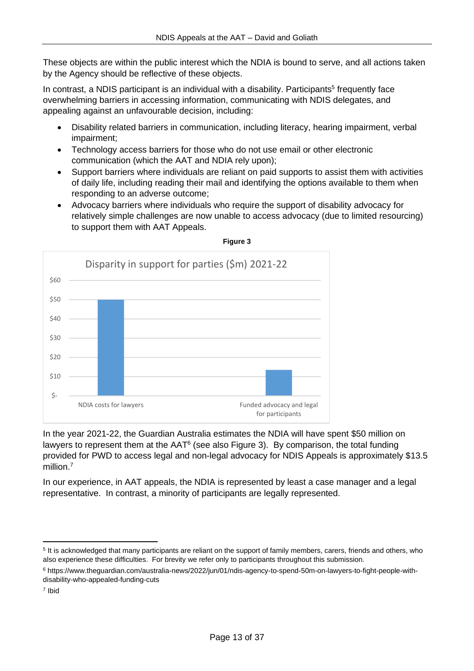These objects are within the public interest which the NDIA is bound to serve, and all actions taken by the Agency should be reflective of these objects.

In contrast, a NDIS participant is an individual with a disability. Participants<sup>5</sup> frequently face overwhelming barriers in accessing information, communicating with NDIS delegates, and appealing against an unfavourable decision, including:

- Disability related barriers in communication, including literacy, hearing impairment, verbal impairment;
- Technology access barriers for those who do not use email or other electronic communication (which the AAT and NDIA rely upon);
- Support barriers where individuals are reliant on paid supports to assist them with activities of daily life, including reading their mail and identifying the options available to them when responding to an adverse outcome;
- Advocacy barriers where individuals who require the support of disability advocacy for relatively simple challenges are now unable to access advocacy (due to limited resourcing) to support them with AAT Appeals.



**Figure 3**

In the year 2021-22, the Guardian Australia estimates the NDIA will have spent \$50 million on lawyers to represent them at the  $AAT<sup>6</sup>$  (see also Figure 3). By comparison, the total funding provided for PWD to access legal and non-legal advocacy for NDIS Appeals is approximately \$13.5 million.<sup>7</sup>

In our experience, in AAT appeals, the NDIA is represented by least a case manager and a legal representative. In contrast, a minority of participants are legally represented.

<sup>&</sup>lt;sup>5</sup> It is acknowledged that many participants are reliant on the support of family members, carers, friends and others, who also experience these difficulties. For brevity we refer only to participants throughout this submission.

<sup>6</sup> https://www.theguardian.com/australia-news/2022/jun/01/ndis-agency-to-spend-50m-on-lawyers-to-fight-people-withdisability-who-appealed-funding-cuts

<sup>7</sup> Ibid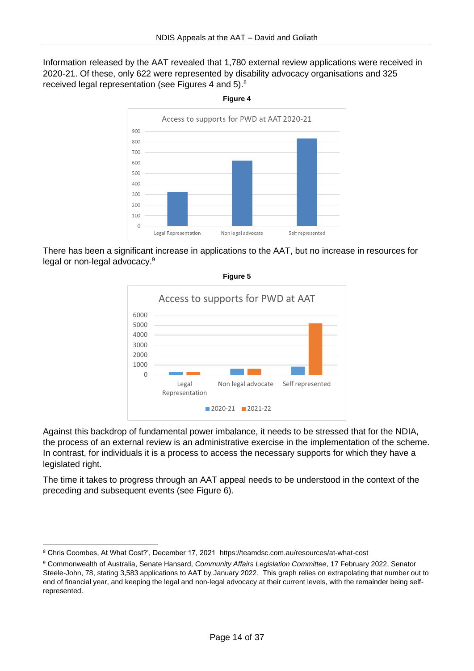Information released by the AAT revealed that 1,780 external review applications were received in 2020-21. Of these, only 622 were represented by disability advocacy organisations and 325 received legal representation (see Figures 4 and 5).<sup>8</sup>



There has been a significant increase in applications to the AAT, but no increase in resources for legal or non-legal advocacy.<sup>9</sup>

**Figure 5**



Against this backdrop of fundamental power imbalance, it needs to be stressed that for the NDIA, the process of an external review is an administrative exercise in the implementation of the scheme. In contrast, for individuals it is a process to access the necessary supports for which they have a legislated right.

The time it takes to progress through an AAT appeal needs to be understood in the context of the preceding and subsequent events (see Figure 6).

**Figure 4**

<sup>8</sup> Chris Coombes, At What Cost?', December 17, 2021 https://teamdsc.com.au/resources/at-what-cost

<sup>9</sup> Commonwealth of Australia, Senate Hansard, *Community Affairs Legislation Committee*, 17 February 2022, Senator Steele-John, 78, stating 3,583 applications to AAT by January 2022. This graph relies on extrapolating that number out to end of financial year, and keeping the legal and non-legal advocacy at their current levels, with the remainder being selfrepresented.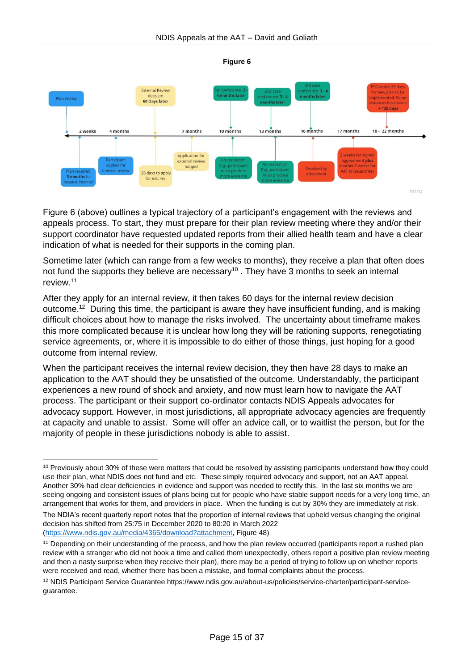



Figure 6 (above) outlines a typical trajectory of a participant's engagement with the reviews and appeals process. To start, they must prepare for their plan review meeting where they and/or their support coordinator have requested updated reports from their allied health team and have a clear indication of what is needed for their supports in the coming plan.

Sometime later (which can range from a few weeks to months), they receive a plan that often does not fund the supports they believe are necessary<sup>10</sup>. They have 3 months to seek an internal review. 11

After they apply for an internal review, it then takes 60 days for the internal review decision outcome. <sup>12</sup> During this time, the participant is aware they have insufficient funding, and is making difficult choices about how to manage the risks involved. The uncertainty about timeframe makes this more complicated because it is unclear how long they will be rationing supports, renegotiating service agreements, or, where it is impossible to do either of those things, just hoping for a good outcome from internal review.

When the participant receives the internal review decision, they then have 28 days to make an application to the AAT should they be unsatisfied of the outcome. Understandably, the participant experiences a new round of shock and anxiety, and now must learn how to navigate the AAT process. The participant or their support co-ordinator contacts NDIS Appeals advocates for advocacy support. However, in most jurisdictions, all appropriate advocacy agencies are frequently at capacity and unable to assist. Some will offer an advice call, or to waitlist the person, but for the majority of people in these jurisdictions nobody is able to assist.

<sup>&</sup>lt;sup>10</sup> Previously about 30% of these were matters that could be resolved by assisting participants understand how they could use their plan, what NDIS does not fund and etc. These simply required advocacy and support, not an AAT appeal. Another 30% had clear deficiencies in evidence and support was needed to rectify this. In the last six months we are seeing ongoing and consistent issues of plans being cut for people who have stable support needs for a very long time, an arrangement that works for them, and providers in place. When the funding is cut by 30% they are immediately at risk.

The NDIA's recent quarterly report notes that the proportion of internal reviews that upheld versus changing the original decision has shifted from 25:75 in December 2020 to 80:20 in March 2022 [\(https://www.ndis.gov.au/media/4365/download?attachment,](https://www.ndis.gov.au/media/4365/download?attachment) Figure 48)

<sup>&</sup>lt;sup>11</sup> Depending on their understanding of the process, and how the plan review occurred (participants report a rushed plan review with a stranger who did not book a time and called them unexpectedly, others report a positive plan review meeting and then a nasty surprise when they receive their plan), there may be a period of trying to follow up on whether reports were received and read, whether there has been a mistake, and formal complaints about the process.

<sup>12</sup> NDIS Participant Service Guarantee https://www.ndis.gov.au/about-us/policies/service-charter/participant-serviceguarantee.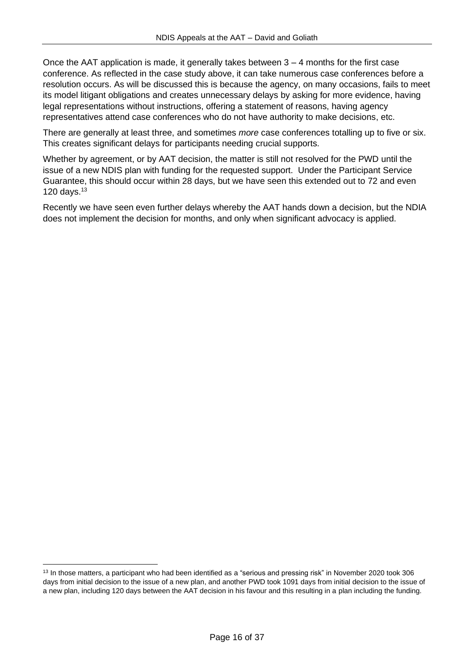Once the AAT application is made, it generally takes between  $3 - 4$  months for the first case conference. As reflected in the case study above, it can take numerous case conferences before a resolution occurs. As will be discussed this is because the agency, on many occasions, fails to meet its model litigant obligations and creates unnecessary delays by asking for more evidence, having legal representations without instructions, offering a statement of reasons, having agency representatives attend case conferences who do not have authority to make decisions, etc.

There are generally at least three, and sometimes *more* case conferences totalling up to five or six. This creates significant delays for participants needing crucial supports.

Whether by agreement, or by AAT decision, the matter is still not resolved for the PWD until the issue of a new NDIS plan with funding for the requested support. Under the Participant Service Guarantee, this should occur within 28 days, but we have seen this extended out to 72 and even 120 days. $13$ 

Recently we have seen even further delays whereby the AAT hands down a decision, but the NDIA does not implement the decision for months, and only when significant advocacy is applied.

<sup>&</sup>lt;sup>13</sup> In those matters, a participant who had been identified as a "serious and pressing risk" in November 2020 took 306 days from initial decision to the issue of a new plan, and another PWD took 1091 days from initial decision to the issue of a new plan, including 120 days between the AAT decision in his favour and this resulting in a plan including the funding.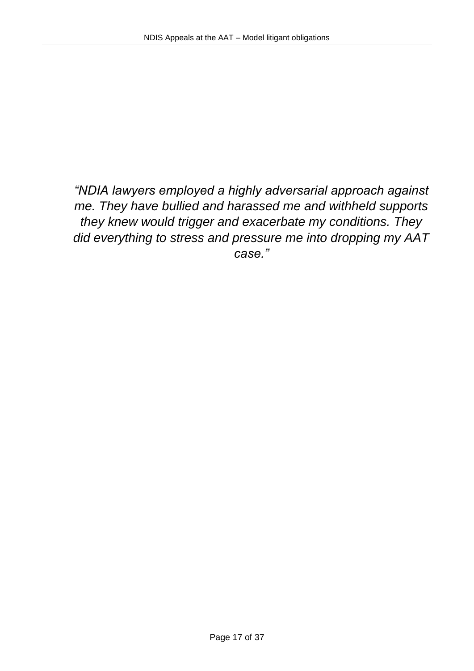*"NDIA lawyers employed a highly adversarial approach against me. They have bullied and harassed me and withheld supports they knew would trigger and exacerbate my conditions. They did everything to stress and pressure me into dropping my AAT case."*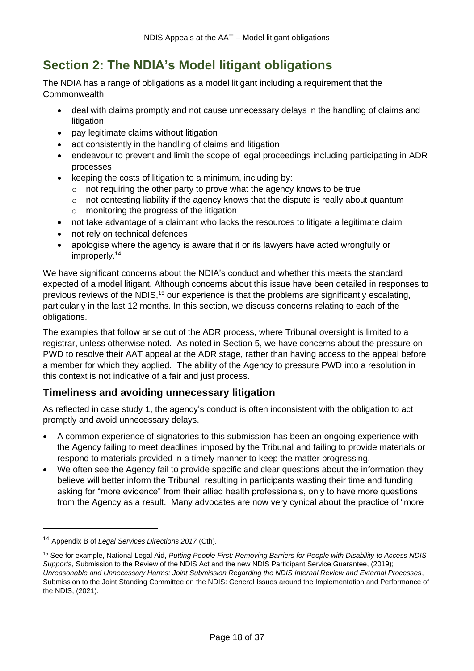# <span id="page-17-0"></span>**Section 2: The NDIA's Model litigant obligations**

The NDIA has a range of obligations as a model litigant including a requirement that the Commonwealth:

- deal with claims promptly and not cause unnecessary delays in the handling of claims and litigation
- pay legitimate claims without litigation
- act consistently in the handling of claims and litigation
- endeavour to prevent and limit the scope of legal proceedings including participating in ADR processes
- keeping the costs of litigation to a minimum, including by:
	- o not requiring the other party to prove what the agency knows to be true
	- o not contesting liability if the agency knows that the dispute is really about quantum o monitoring the progress of the litigation
- not take advantage of a claimant who lacks the resources to litigate a legitimate claim
- not rely on technical defences
- apologise where the agency is aware that it or its lawyers have acted wrongfully or improperly.<sup>14</sup>

We have significant concerns about the NDIA's conduct and whether this meets the standard expected of a model litigant. Although concerns about this issue have been detailed in responses to previous reviews of the NDIS,<sup>15</sup> our experience is that the problems are significantly escalating, particularly in the last 12 months. In this section, we discuss concerns relating to each of the obligations.

The examples that follow arise out of the ADR process, where Tribunal oversight is limited to a registrar, unless otherwise noted. As noted in Section 5, we have concerns about the pressure on PWD to resolve their AAT appeal at the ADR stage, rather than having access to the appeal before a member for which they applied. The ability of the Agency to pressure PWD into a resolution in this context is not indicative of a fair and just process.

# <span id="page-17-1"></span>**Timeliness and avoiding unnecessary litigation**

As reflected in case study 1, the agency's conduct is often inconsistent with the obligation to act promptly and avoid unnecessary delays.

- A common experience of signatories to this submission has been an ongoing experience with the Agency failing to meet deadlines imposed by the Tribunal and failing to provide materials or respond to materials provided in a timely manner to keep the matter progressing.
- We often see the Agency fail to provide specific and clear questions about the information they believe will better inform the Tribunal, resulting in participants wasting their time and funding asking for "more evidence" from their allied health professionals, only to have more questions from the Agency as a result. Many advocates are now very cynical about the practice of "more

<sup>14</sup> Appendix B of *Legal Services Directions 2017* (Cth).

<sup>15</sup> See for example, National Legal Aid, *Putting People First: Removing Barriers for People with Disability to Access NDIS Supports*, Submission to the Review of the NDIS Act and the new NDIS Participant Service Guarantee, (2019); *Unreasonable and Unnecessary Harms: Joint Submission Regarding the NDIS Internal Review and External Processes*, Submission to the Joint Standing Committee on the NDIS: General Issues around the Implementation and Performance of the NDIS, (2021).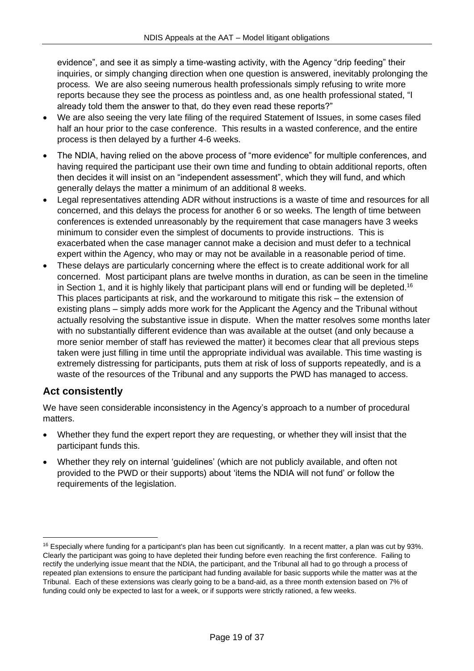evidence", and see it as simply a time-wasting activity, with the Agency "drip feeding" their inquiries, or simply changing direction when one question is answered, inevitably prolonging the process. We are also seeing numerous health professionals simply refusing to write more reports because they see the process as pointless and, as one health professional stated, "I already told them the answer to that, do they even read these reports?"

- We are also seeing the very late filing of the required Statement of Issues, in some cases filed half an hour prior to the case conference. This results in a wasted conference, and the entire process is then delayed by a further 4-6 weeks.
- The NDIA, having relied on the above process of "more evidence" for multiple conferences, and having required the participant use their own time and funding to obtain additional reports, often then decides it will insist on an "independent assessment", which they will fund, and which generally delays the matter a minimum of an additional 8 weeks.
- Legal representatives attending ADR without instructions is a waste of time and resources for all concerned, and this delays the process for another 6 or so weeks. The length of time between conferences is extended unreasonably by the requirement that case managers have 3 weeks minimum to consider even the simplest of documents to provide instructions. This is exacerbated when the case manager cannot make a decision and must defer to a technical expert within the Agency, who may or may not be available in a reasonable period of time.
- These delays are particularly concerning where the effect is to create additional work for all concerned. Most participant plans are twelve months in duration, as can be seen in the timeline in Section 1, and it is highly likely that participant plans will end or funding will be depleted.<sup>16</sup> This places participants at risk, and the workaround to mitigate this risk – the extension of existing plans – simply adds more work for the Applicant the Agency and the Tribunal without actually resolving the substantive issue in dispute. When the matter resolves some months later with no substantially different evidence than was available at the outset (and only because a more senior member of staff has reviewed the matter) it becomes clear that all previous steps taken were just filling in time until the appropriate individual was available. This time wasting is extremely distressing for participants, puts them at risk of loss of supports repeatedly, and is a waste of the resources of the Tribunal and any supports the PWD has managed to access.

# <span id="page-18-0"></span>**Act consistently**

We have seen considerable inconsistency in the Agency's approach to a number of procedural matters.

- Whether they fund the expert report they are requesting, or whether they will insist that the participant funds this.
- Whether they rely on internal 'guidelines' (which are not publicly available, and often not provided to the PWD or their supports) about 'items the NDIA will not fund' or follow the requirements of the legislation.

 $16$  Especially where funding for a participant's plan has been cut significantly. In a recent matter, a plan was cut by 93%. Clearly the participant was going to have depleted their funding before even reaching the first conference. Failing to rectify the underlying issue meant that the NDIA, the participant, and the Tribunal all had to go through a process of repeated plan extensions to ensure the participant had funding available for basic supports while the matter was at the Tribunal. Each of these extensions was clearly going to be a band-aid, as a three month extension based on 7% of funding could only be expected to last for a week, or if supports were strictly rationed, a few weeks.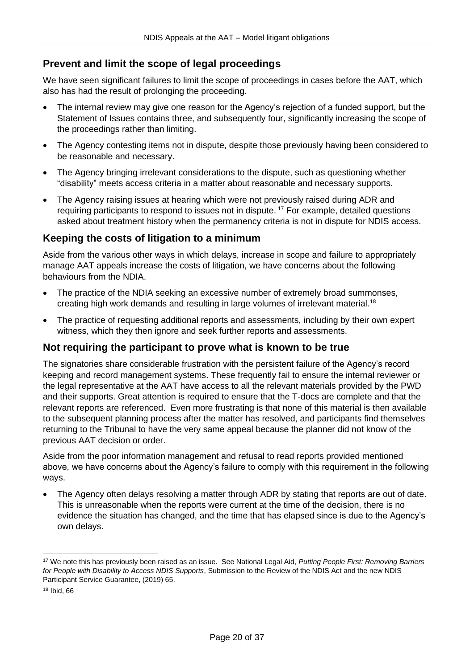# <span id="page-19-0"></span>**Prevent and limit the scope of legal proceedings**

We have seen significant failures to limit the scope of proceedings in cases before the AAT, which also has had the result of prolonging the proceeding.

- The internal review may give one reason for the Agency's rejection of a funded support, but the Statement of Issues contains three, and subsequently four, significantly increasing the scope of the proceedings rather than limiting.
- The Agency contesting items not in dispute, despite those previously having been considered to be reasonable and necessary.
- The Agency bringing irrelevant considerations to the dispute, such as questioning whether "disability" meets access criteria in a matter about reasonable and necessary supports.
- The Agency raising issues at hearing which were not previously raised during ADR and requiring participants to respond to issues not in dispute.<sup>17</sup> For example, detailed questions asked about treatment history when the permanency criteria is not in dispute for NDIS access.

# <span id="page-19-1"></span>**Keeping the costs of litigation to a minimum**

Aside from the various other ways in which delays, increase in scope and failure to appropriately manage AAT appeals increase the costs of litigation, we have concerns about the following behaviours from the NDIA.

- The practice of the NDIA seeking an excessive number of extremely broad summonses, creating high work demands and resulting in large volumes of irrelevant material.<sup>18</sup>
- The practice of requesting additional reports and assessments, including by their own expert witness, which they then ignore and seek further reports and assessments.

### <span id="page-19-2"></span>**Not requiring the participant to prove what is known to be true**

The signatories share considerable frustration with the persistent failure of the Agency's record keeping and record management systems. These frequently fail to ensure the internal reviewer or the legal representative at the AAT have access to all the relevant materials provided by the PWD and their supports. Great attention is required to ensure that the T-docs are complete and that the relevant reports are referenced. Even more frustrating is that none of this material is then available to the subsequent planning process after the matter has resolved, and participants find themselves returning to the Tribunal to have the very same appeal because the planner did not know of the previous AAT decision or order.

Aside from the poor information management and refusal to read reports provided mentioned above, we have concerns about the Agency's failure to comply with this requirement in the following ways.

• The Agency often delays resolving a matter through ADR by stating that reports are out of date. This is unreasonable when the reports were current at the time of the decision, there is no evidence the situation has changed, and the time that has elapsed since is due to the Agency's own delays.

<sup>17</sup> We note this has previously been raised as an issue. See National Legal Aid, *Putting People First: Removing Barriers for People with Disability to Access NDIS Supports*, Submission to the Review of the NDIS Act and the new NDIS Participant Service Guarantee, (2019) 65.

<sup>18</sup> Ibid, 66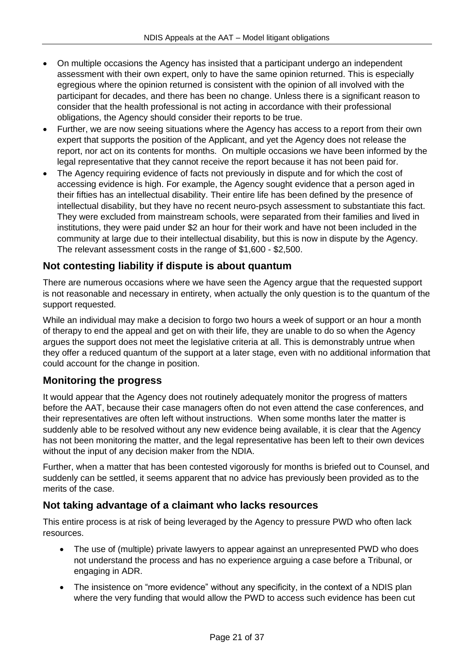- On multiple occasions the Agency has insisted that a participant undergo an independent assessment with their own expert, only to have the same opinion returned. This is especially egregious where the opinion returned is consistent with the opinion of all involved with the participant for decades, and there has been no change. Unless there is a significant reason to consider that the health professional is not acting in accordance with their professional obligations, the Agency should consider their reports to be true.
- Further, we are now seeing situations where the Agency has access to a report from their own expert that supports the position of the Applicant, and yet the Agency does not release the report, nor act on its contents for months. On multiple occasions we have been informed by the legal representative that they cannot receive the report because it has not been paid for.
- The Agency requiring evidence of facts not previously in dispute and for which the cost of accessing evidence is high. For example, the Agency sought evidence that a person aged in their fifties has an intellectual disability. Their entire life has been defined by the presence of intellectual disability, but they have no recent neuro-psych assessment to substantiate this fact. They were excluded from mainstream schools, were separated from their families and lived in institutions, they were paid under \$2 an hour for their work and have not been included in the community at large due to their intellectual disability, but this is now in dispute by the Agency. The relevant assessment costs in the range of \$1,600 - \$2,500.

# <span id="page-20-0"></span>**Not contesting liability if dispute is about quantum**

There are numerous occasions where we have seen the Agency argue that the requested support is not reasonable and necessary in entirety, when actually the only question is to the quantum of the support requested.

While an individual may make a decision to forgo two hours a week of support or an hour a month of therapy to end the appeal and get on with their life, they are unable to do so when the Agency argues the support does not meet the legislative criteria at all. This is demonstrably untrue when they offer a reduced quantum of the support at a later stage, even with no additional information that could account for the change in position.

# <span id="page-20-1"></span>**Monitoring the progress**

It would appear that the Agency does not routinely adequately monitor the progress of matters before the AAT, because their case managers often do not even attend the case conferences, and their representatives are often left without instructions. When some months later the matter is suddenly able to be resolved without any new evidence being available, it is clear that the Agency has not been monitoring the matter, and the legal representative has been left to their own devices without the input of any decision maker from the NDIA.

Further, when a matter that has been contested vigorously for months is briefed out to Counsel, and suddenly can be settled, it seems apparent that no advice has previously been provided as to the merits of the case.

# <span id="page-20-2"></span>**Not taking advantage of a claimant who lacks resources**

This entire process is at risk of being leveraged by the Agency to pressure PWD who often lack resources.

- The use of (multiple) private lawyers to appear against an unrepresented PWD who does not understand the process and has no experience arguing a case before a Tribunal, or engaging in ADR.
- The insistence on "more evidence" without any specificity, in the context of a NDIS plan where the very funding that would allow the PWD to access such evidence has been cut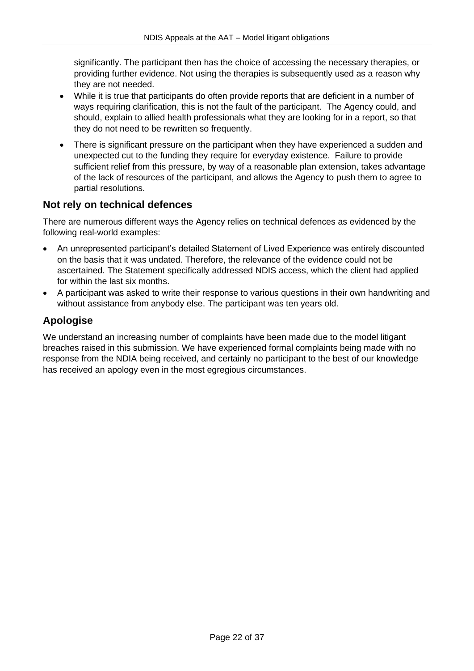significantly. The participant then has the choice of accessing the necessary therapies, or providing further evidence. Not using the therapies is subsequently used as a reason why they are not needed.

- While it is true that participants do often provide reports that are deficient in a number of ways requiring clarification, this is not the fault of the participant. The Agency could, and should, explain to allied health professionals what they are looking for in a report, so that they do not need to be rewritten so frequently.
- There is significant pressure on the participant when they have experienced a sudden and unexpected cut to the funding they require for everyday existence. Failure to provide sufficient relief from this pressure, by way of a reasonable plan extension, takes advantage of the lack of resources of the participant, and allows the Agency to push them to agree to partial resolutions.

# <span id="page-21-0"></span>**Not rely on technical defences**

There are numerous different ways the Agency relies on technical defences as evidenced by the following real-world examples:

- An unrepresented participant's detailed Statement of Lived Experience was entirely discounted on the basis that it was undated. Therefore, the relevance of the evidence could not be ascertained. The Statement specifically addressed NDIS access, which the client had applied for within the last six months.
- A participant was asked to write their response to various questions in their own handwriting and without assistance from anybody else. The participant was ten years old.

# <span id="page-21-1"></span>**Apologise**

We understand an increasing number of complaints have been made due to the model litigant breaches raised in this submission. We have experienced formal complaints being made with no response from the NDIA being received, and certainly no participant to the best of our knowledge has received an apology even in the most egregious circumstances.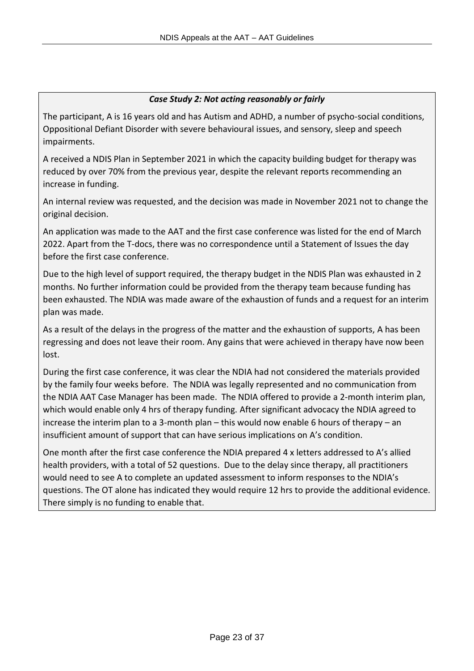### *Case Study 2: Not acting reasonably or fairly*

The participant, A is 16 years old and has Autism and ADHD, a number of psycho-social conditions, Oppositional Defiant Disorder with severe behavioural issues, and sensory, sleep and speech impairments.

A received a NDIS Plan in September 2021 in which the capacity building budget for therapy was reduced by over 70% from the previous year, despite the relevant reports recommending an increase in funding.

An internal review was requested, and the decision was made in November 2021 not to change the original decision.

An application was made to the AAT and the first case conference was listed for the end of March 2022. Apart from the T-docs, there was no correspondence until a Statement of Issues the day before the first case conference.

Due to the high level of support required, the therapy budget in the NDIS Plan was exhausted in 2 months. No further information could be provided from the therapy team because funding has been exhausted. The NDIA was made aware of the exhaustion of funds and a request for an interim plan was made.

As a result of the delays in the progress of the matter and the exhaustion of supports, A has been regressing and does not leave their room. Any gains that were achieved in therapy have now been lost.

During the first case conference, it was clear the NDIA had not considered the materials provided by the family four weeks before. The NDIA was legally represented and no communication from the NDIA AAT Case Manager has been made. The NDIA offered to provide a 2-month interim plan, which would enable only 4 hrs of therapy funding. After significant advocacy the NDIA agreed to increase the interim plan to a 3-month plan – this would now enable 6 hours of therapy – an insufficient amount of support that can have serious implications on A's condition.

One month after the first case conference the NDIA prepared 4 x letters addressed to A's allied health providers, with a total of 52 questions. Due to the delay since therapy, all practitioners would need to see A to complete an updated assessment to inform responses to the NDIA's questions. The OT alone has indicated they would require 12 hrs to provide the additional evidence. There simply is no funding to enable that.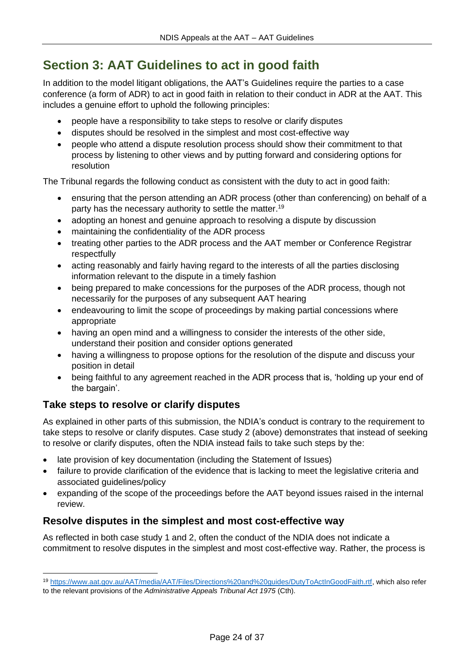# <span id="page-23-0"></span>**Section 3: AAT Guidelines to act in good faith**

In addition to the model litigant obligations, the AAT's Guidelines require the parties to a case conference (a form of ADR) to act in good faith in relation to their conduct in ADR at the AAT. This includes a genuine effort to uphold the following principles:

- people have a responsibility to take steps to resolve or clarify disputes
- disputes should be resolved in the simplest and most cost-effective way
- people who attend a dispute resolution process should show their commitment to that process by listening to other views and by putting forward and considering options for resolution

The Tribunal regards the following conduct as consistent with the duty to act in good faith:

- ensuring that the person attending an ADR process (other than conferencing) on behalf of a party has the necessary authority to settle the matter.<sup>19</sup>
- adopting an honest and genuine approach to resolving a dispute by discussion
- maintaining the confidentiality of the ADR process
- treating other parties to the ADR process and the AAT member or Conference Registrar respectfully
- acting reasonably and fairly having regard to the interests of all the parties disclosing information relevant to the dispute in a timely fashion
- being prepared to make concessions for the purposes of the ADR process, though not necessarily for the purposes of any subsequent AAT hearing
- endeavouring to limit the scope of proceedings by making partial concessions where appropriate
- having an open mind and a willingness to consider the interests of the other side, understand their position and consider options generated
- having a willingness to propose options for the resolution of the dispute and discuss your position in detail
- being faithful to any agreement reached in the ADR process that is, 'holding up your end of the bargain'.

# <span id="page-23-1"></span>**Take steps to resolve or clarify disputes**

As explained in other parts of this submission, the NDIA's conduct is contrary to the requirement to take steps to resolve or clarify disputes. Case study 2 (above) demonstrates that instead of seeking to resolve or clarify disputes, often the NDIA instead fails to take such steps by the:

- late provision of key documentation (including the Statement of Issues)
- failure to provide clarification of the evidence that is lacking to meet the legislative criteria and associated guidelines/policy
- expanding of the scope of the proceedings before the AAT beyond issues raised in the internal review.

# <span id="page-23-2"></span>**Resolve disputes in the simplest and most cost-effective way**

As reflected in both case study 1 and 2, often the conduct of the NDIA does not indicate a commitment to resolve disputes in the simplest and most cost-effective way. Rather, the process is

<sup>19</sup> [https://www.aat.gov.au/AAT/media/AAT/Files/Directions%20and%20guides/DutyToActInGoodFaith.rtf,](https://www.aat.gov.au/AAT/media/AAT/Files/Directions%20and%20guides/DutyToActInGoodFaith.rtf) which also refer to the relevant provisions of the *Administrative Appeals Tribunal Act 1975* (Cth).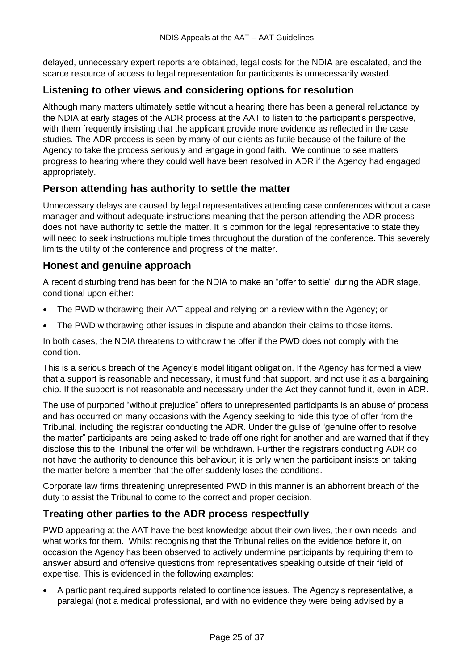delayed, unnecessary expert reports are obtained, legal costs for the NDIA are escalated, and the scarce resource of access to legal representation for participants is unnecessarily wasted.

# <span id="page-24-0"></span>**Listening to other views and considering options for resolution**

Although many matters ultimately settle without a hearing there has been a general reluctance by the NDIA at early stages of the ADR process at the AAT to listen to the participant's perspective, with them frequently insisting that the applicant provide more evidence as reflected in the case studies. The ADR process is seen by many of our clients as futile because of the failure of the Agency to take the process seriously and engage in good faith. We continue to see matters progress to hearing where they could well have been resolved in ADR if the Agency had engaged appropriately.

# <span id="page-24-1"></span>**Person attending has authority to settle the matter**

Unnecessary delays are caused by legal representatives attending case conferences without a case manager and without adequate instructions meaning that the person attending the ADR process does not have authority to settle the matter. It is common for the legal representative to state they will need to seek instructions multiple times throughout the duration of the conference. This severely limits the utility of the conference and progress of the matter.

## <span id="page-24-2"></span>**Honest and genuine approach**

A recent disturbing trend has been for the NDIA to make an "offer to settle" during the ADR stage, conditional upon either:

- The PWD withdrawing their AAT appeal and relying on a review within the Agency; or
- The PWD withdrawing other issues in dispute and abandon their claims to those items.

In both cases, the NDIA threatens to withdraw the offer if the PWD does not comply with the condition.

This is a serious breach of the Agency's model litigant obligation. If the Agency has formed a view that a support is reasonable and necessary, it must fund that support, and not use it as a bargaining chip. If the support is not reasonable and necessary under the Act they cannot fund it, even in ADR.

The use of purported "without prejudice" offers to unrepresented participants is an abuse of process and has occurred on many occasions with the Agency seeking to hide this type of offer from the Tribunal, including the registrar conducting the ADR. Under the guise of "genuine offer to resolve the matter" participants are being asked to trade off one right for another and are warned that if they disclose this to the Tribunal the offer will be withdrawn. Further the registrars conducting ADR do not have the authority to denounce this behaviour; it is only when the participant insists on taking the matter before a member that the offer suddenly loses the conditions.

Corporate law firms threatening unrepresented PWD in this manner is an abhorrent breach of the duty to assist the Tribunal to come to the correct and proper decision.

# <span id="page-24-3"></span>**Treating other parties to the ADR process respectfully**

PWD appearing at the AAT have the best knowledge about their own lives, their own needs, and what works for them. Whilst recognising that the Tribunal relies on the evidence before it, on occasion the Agency has been observed to actively undermine participants by requiring them to answer absurd and offensive questions from representatives speaking outside of their field of expertise. This is evidenced in the following examples:

• A participant required supports related to continence issues. The Agency's representative, a paralegal (not a medical professional, and with no evidence they were being advised by a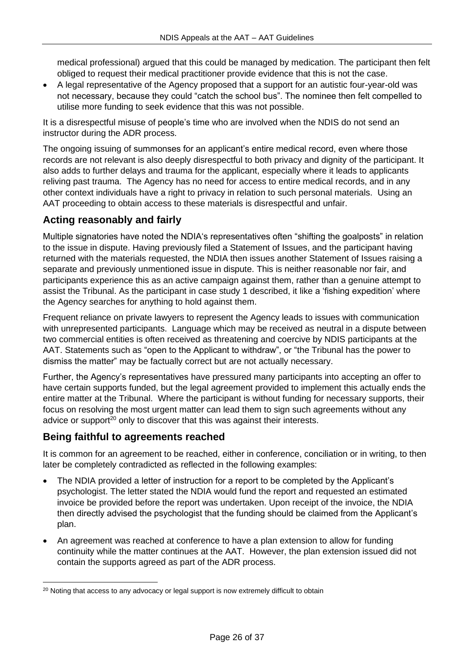medical professional) argued that this could be managed by medication. The participant then felt obliged to request their medical practitioner provide evidence that this is not the case.

• A legal representative of the Agency proposed that a support for an autistic four-year-old was not necessary, because they could "catch the school bus". The nominee then felt compelled to utilise more funding to seek evidence that this was not possible.

It is a disrespectful misuse of people's time who are involved when the NDIS do not send an instructor during the ADR process.

The ongoing issuing of summonses for an applicant's entire medical record, even where those records are not relevant is also deeply disrespectful to both privacy and dignity of the participant. It also adds to further delays and trauma for the applicant, especially where it leads to applicants reliving past trauma. The Agency has no need for access to entire medical records, and in any other context individuals have a right to privacy in relation to such personal materials. Using an AAT proceeding to obtain access to these materials is disrespectful and unfair.

# <span id="page-25-0"></span>**Acting reasonably and fairly**

Multiple signatories have noted the NDIA's representatives often "shifting the goalposts" in relation to the issue in dispute. Having previously filed a Statement of Issues, and the participant having returned with the materials requested, the NDIA then issues another Statement of Issues raising a separate and previously unmentioned issue in dispute. This is neither reasonable nor fair, and participants experience this as an active campaign against them, rather than a genuine attempt to assist the Tribunal. As the participant in case study 1 described, it like a 'fishing expedition' where the Agency searches for anything to hold against them.

Frequent reliance on private lawyers to represent the Agency leads to issues with communication with unrepresented participants. Language which may be received as neutral in a dispute between two commercial entities is often received as threatening and coercive by NDIS participants at the AAT. Statements such as "open to the Applicant to withdraw", or "the Tribunal has the power to dismiss the matter" may be factually correct but are not actually necessary.

Further, the Agency's representatives have pressured many participants into accepting an offer to have certain supports funded, but the legal agreement provided to implement this actually ends the entire matter at the Tribunal. Where the participant is without funding for necessary supports, their focus on resolving the most urgent matter can lead them to sign such agreements without any advice or support $20$  only to discover that this was against their interests.

# <span id="page-25-1"></span>**Being faithful to agreements reached**

It is common for an agreement to be reached, either in conference, conciliation or in writing, to then later be completely contradicted as reflected in the following examples:

- The NDIA provided a letter of instruction for a report to be completed by the Applicant's psychologist. The letter stated the NDIA would fund the report and requested an estimated invoice be provided before the report was undertaken. Upon receipt of the invoice, the NDIA then directly advised the psychologist that the funding should be claimed from the Applicant's plan.
- An agreement was reached at conference to have a plan extension to allow for funding continuity while the matter continues at the AAT. However, the plan extension issued did not contain the supports agreed as part of the ADR process.

 $20$  Noting that access to any advocacy or legal support is now extremely difficult to obtain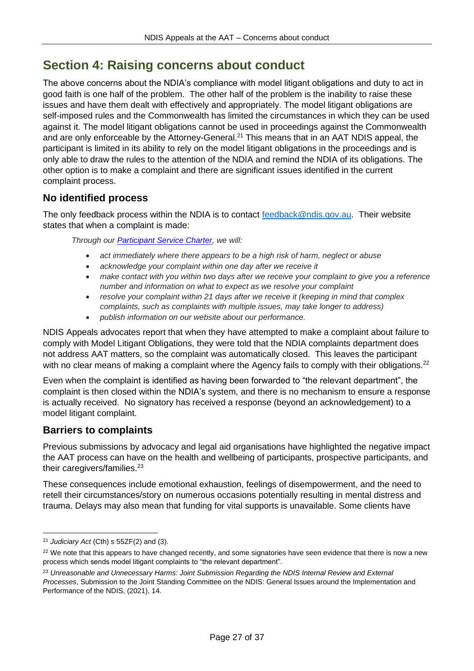# <span id="page-26-0"></span>**Section 4: Raising concerns about conduct**

The above concerns about the NDIA's compliance with model litigant obligations and duty to act in good faith is one half of the problem. The other half of the problem is the inability to raise these issues and have them dealt with effectively and appropriately. The model litigant obligations are self-imposed rules and the Commonwealth has limited the circumstances in which they can be used against it. The model litigant obligations cannot be used in proceedings against the Commonwealth and are only enforceable by the Attorney-General.<sup>21</sup> This means that in an AAT NDIS appeal, the participant is limited in its ability to rely on the model litigant obligations in the proceedings and is only able to draw the rules to the attention of the NDIA and remind the NDIA of its obligations. The other option is to make a complaint and there are significant issues identified in the current complaint process.

# <span id="page-26-1"></span>**No identified process**

The only feedback process within the NDIA is to contact [feedback@ndis.gov.au.](mailto:feedback@ndis.gov.au) Their website states that when a complaint is made:

*Through our [Participant Service Charter,](https://www.ndis.gov.au/about-us/policies/service-charter) we will:*

- *act immediately where there appears to be a high risk of harm, neglect or abuse*
- *acknowledge your complaint within one day after we receive it*
- *make contact with you within two days after we receive your complaint to give you a reference number and information on what to expect as we resolve your complaint*
- *resolve your complaint within 21 days after we receive it (keeping in mind that complex complaints, such as complaints with multiple issues, may take longer to address)*
- *publish information on our website about our performance.*

NDIS Appeals advocates report that when they have attempted to make a complaint about failure to comply with Model Litigant Obligations, they were told that the NDIA complaints department does not address AAT matters, so the complaint was automatically closed. This leaves the participant with no clear means of making a complaint where the Agency fails to comply with their obligations.<sup>22</sup>

Even when the complaint is identified as having been forwarded to "the relevant department", the complaint is then closed within the NDIA's system, and there is no mechanism to ensure a response is actually received. No signatory has received a response (beyond an acknowledgement) to a model litigant complaint.

# <span id="page-26-2"></span>**Barriers to complaints**

Previous submissions by advocacy and legal aid organisations have highlighted the negative impact the AAT process can have on the health and wellbeing of participants, prospective participants, and their caregivers/families.<sup>23</sup>

These consequences include emotional exhaustion, feelings of disempowerment, and the need to retell their circumstances/story on numerous occasions potentially resulting in mental distress and trauma. Delays may also mean that funding for vital supports is unavailable. Some clients have

<sup>21</sup> *Judiciary Act* (Cth) s 55ZF(2) and (3).

<sup>&</sup>lt;sup>22</sup> We note that this appears to have changed recently, and some signatories have seen evidence that there is now a new process which sends model litigant complaints to "the relevant department".

<sup>&</sup>lt;sup>23</sup> Unreasonable and Unnecessary Harms: Joint Submission Regarding the NDIS Internal Review and External *Processes*, Submission to the Joint Standing Committee on the NDIS: General Issues around the Implementation and Performance of the NDIS, (2021), 14.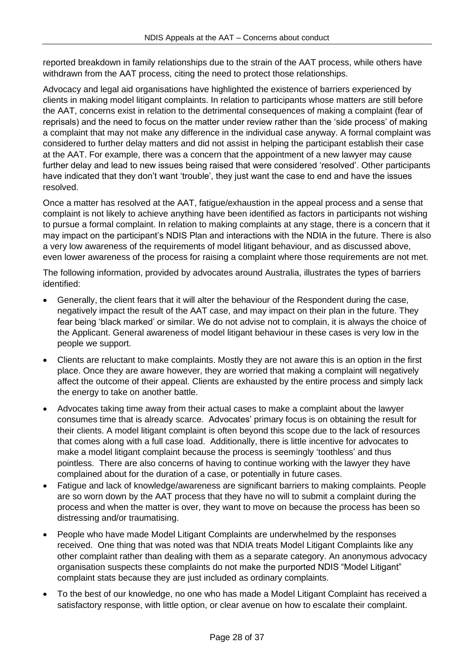reported breakdown in family relationships due to the strain of the AAT process, while others have withdrawn from the AAT process, citing the need to protect those relationships.

Advocacy and legal aid organisations have highlighted the existence of barriers experienced by clients in making model litigant complaints. In relation to participants whose matters are still before the AAT, concerns exist in relation to the detrimental consequences of making a complaint (fear of reprisals) and the need to focus on the matter under review rather than the 'side process' of making a complaint that may not make any difference in the individual case anyway. A formal complaint was considered to further delay matters and did not assist in helping the participant establish their case at the AAT. For example, there was a concern that the appointment of a new lawyer may cause further delay and lead to new issues being raised that were considered 'resolved'. Other participants have indicated that they don't want 'trouble', they just want the case to end and have the issues resolved.

Once a matter has resolved at the AAT, fatigue/exhaustion in the appeal process and a sense that complaint is not likely to achieve anything have been identified as factors in participants not wishing to pursue a formal complaint. In relation to making complaints at any stage, there is a concern that it may impact on the participant's NDIS Plan and interactions with the NDIA in the future. There is also a very low awareness of the requirements of model litigant behaviour, and as discussed above, even lower awareness of the process for raising a complaint where those requirements are not met.

The following information, provided by advocates around Australia, illustrates the types of barriers identified:

- Generally, the client fears that it will alter the behaviour of the Respondent during the case, negatively impact the result of the AAT case, and may impact on their plan in the future. They fear being 'black marked' or similar. We do not advise not to complain, it is always the choice of the Applicant. General awareness of model litigant behaviour in these cases is very low in the people we support.
- Clients are reluctant to make complaints. Mostly they are not aware this is an option in the first place. Once they are aware however, they are worried that making a complaint will negatively affect the outcome of their appeal. Clients are exhausted by the entire process and simply lack the energy to take on another battle.
- Advocates taking time away from their actual cases to make a complaint about the lawyer consumes time that is already scarce. Advocates' primary focus is on obtaining the result for their clients. A model litigant complaint is often beyond this scope due to the lack of resources that comes along with a full case load. Additionally, there is little incentive for advocates to make a model litigant complaint because the process is seemingly 'toothless' and thus pointless. There are also concerns of having to continue working with the lawyer they have complained about for the duration of a case, or potentially in future cases.
- Fatigue and lack of knowledge/awareness are significant barriers to making complaints. People are so worn down by the AAT process that they have no will to submit a complaint during the process and when the matter is over, they want to move on because the process has been so distressing and/or traumatising.
- People who have made Model Litigant Complaints are underwhelmed by the responses received. One thing that was noted was that NDIA treats Model Litigant Complaints like any other complaint rather than dealing with them as a separate category. An anonymous advocacy organisation suspects these complaints do not make the purported NDIS "Model Litigant" complaint stats because they are just included as ordinary complaints.
- To the best of our knowledge, no one who has made a Model Litigant Complaint has received a satisfactory response, with little option, or clear avenue on how to escalate their complaint.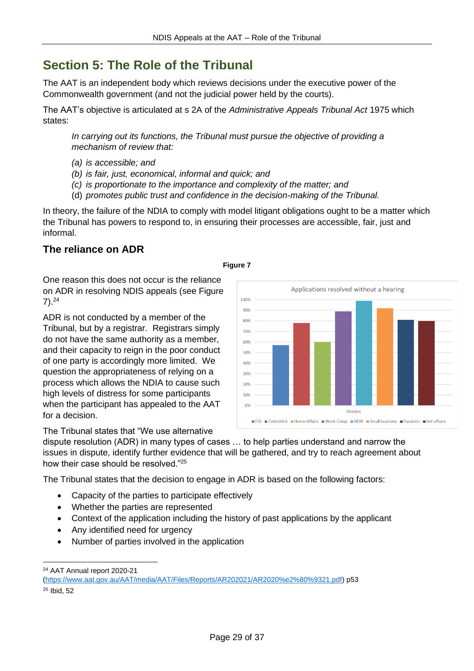# <span id="page-28-0"></span>**Section 5: The Role of the Tribunal**

The AAT is an independent body which reviews decisions under the executive power of the Commonwealth government (and not the judicial power held by the courts).

The AAT's objective is articulated at s 2A of the *Administrative Appeals Tribunal Act* 1975 which states:

*In carrying out its functions, the Tribunal must pursue the objective of providing a mechanism of review that:*

- *(a) is accessible; and*
- *(b) is fair, just, economical, informal and quick; and*
- *(c) is proportionate to the importance and complexity of the matter; and*
- (d) *promotes public trust and confidence in the decision-making of the Tribunal.*

In theory, the failure of the NDIA to comply with model litigant obligations ought to be a matter which the Tribunal has powers to respond to, in ensuring their processes are accessible, fair, just and informal.

# <span id="page-28-1"></span>**The reliance on ADR**

### **Figure 7**

100% 90% 80% 70%  $60%$ 5.0% 40% 30%  $20%$ 10%

One reason this does not occur is the reliance on ADR in resolving NDIS appeals (see Figure  $7)$ .<sup>24</sup>

ADR is not conducted by a member of the Tribunal, but by a registrar. Registrars simply do not have the same authority as a member, and their capacity to reign in the poor conduct of one party is accordingly more limited. We question the appropriateness of relying on a process which allows the NDIA to cause such high levels of distress for some participants when the participant has appealed to the AAT for a decision.

The Tribunal states that "We use alternative



Applications resolved without a hearing

dispute resolution (ADR) in many types of cases … to help parties understand and narrow the issues in dispute, identify further evidence that will be gathered, and try to reach agreement about how their case should be resolved."<sup>25</sup>

The Tribunal states that the decision to engage in ADR is based on the following factors:

- Capacity of the parties to participate effectively
- Whether the parties are represented
- Context of the application including the history of past applications by the applicant
- Any identified need for urgency
- Number of parties involved in the application

<sup>24</sup> AAT Annual report 2020-21

[<sup>\(</sup>https://www.aat.gov.au/AAT/media/AAT/Files/Reports/AR202021/AR2020%e2%80%9321.pdf\)](https://www.aat.gov.au/AAT/media/AAT/Files/Reports/AR202021/AR2020%e2%80%9321.pdf) p53

<sup>25</sup> Ibid, 52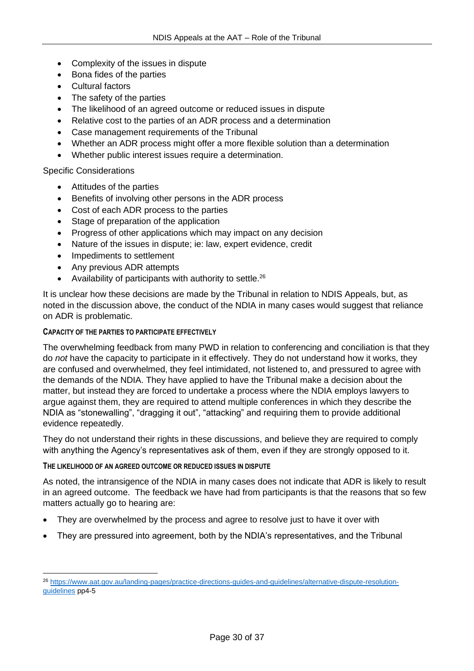- Complexity of the issues in dispute
- Bona fides of the parties
- Cultural factors
- The safety of the parties
- The likelihood of an agreed outcome or reduced issues in dispute
- Relative cost to the parties of an ADR process and a determination
- Case management requirements of the Tribunal
- Whether an ADR process might offer a more flexible solution than a determination
- Whether public interest issues require a determination.

### Specific Considerations

- Attitudes of the parties
- Benefits of involving other persons in the ADR process
- Cost of each ADR process to the parties
- Stage of preparation of the application
- Progress of other applications which may impact on any decision
- Nature of the issues in dispute; ie: law, expert evidence, credit
- Impediments to settlement
- Any previous ADR attempts
- Availability of participants with authority to settle. $26$

It is unclear how these decisions are made by the Tribunal in relation to NDIS Appeals, but, as noted in the discussion above, the conduct of the NDIA in many cases would suggest that reliance on ADR is problematic.

### **CAPACITY OF THE PARTIES TO PARTICIPATE EFFECTIVELY**

The overwhelming feedback from many PWD in relation to conferencing and conciliation is that they do *not* have the capacity to participate in it effectively. They do not understand how it works, they are confused and overwhelmed, they feel intimidated, not listened to, and pressured to agree with the demands of the NDIA. They have applied to have the Tribunal make a decision about the matter, but instead they are forced to undertake a process where the NDIA employs lawyers to argue against them, they are required to attend multiple conferences in which they describe the NDIA as "stonewalling", "dragging it out", "attacking" and requiring them to provide additional evidence repeatedly.

They do not understand their rights in these discussions, and believe they are required to comply with anything the Agency's representatives ask of them, even if they are strongly opposed to it.

#### **THE LIKELIHOOD OF AN AGREED OUTCOME OR REDUCED ISSUES IN DISPUTE**

As noted, the intransigence of the NDIA in many cases does not indicate that ADR is likely to result in an agreed outcome. The feedback we have had from participants is that the reasons that so few matters actually go to hearing are:

- They are overwhelmed by the process and agree to resolve just to have it over with
- They are pressured into agreement, both by the NDIA's representatives, and the Tribunal

<sup>26</sup> [https://www.aat.gov.au/landing-pages/practice-directions-guides-and-guidelines/alternative-dispute-resolution](https://www.aat.gov.au/landing-pages/practice-directions-guides-and-guidelines/alternative-dispute-resolution-guidelines)[guidelines](https://www.aat.gov.au/landing-pages/practice-directions-guides-and-guidelines/alternative-dispute-resolution-guidelines) pp4-5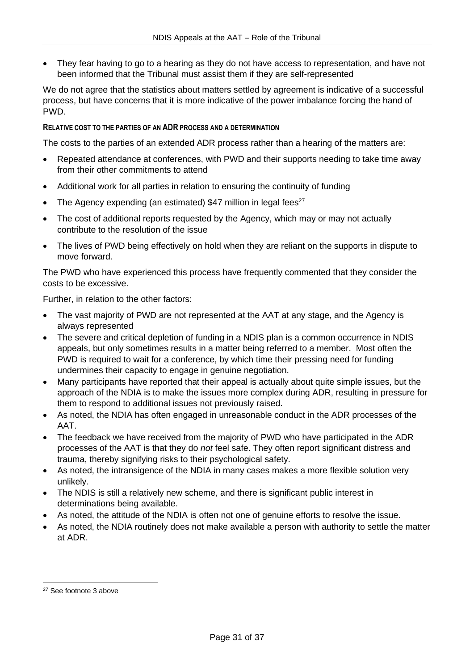• They fear having to go to a hearing as they do not have access to representation, and have not been informed that the Tribunal must assist them if they are self-represented

We do not agree that the statistics about matters settled by agreement is indicative of a successful process, but have concerns that it is more indicative of the power imbalance forcing the hand of PWD.

### **RELATIVE COST TO THE PARTIES OF AN ADR PROCESS AND A DETERMINATION**

The costs to the parties of an extended ADR process rather than a hearing of the matters are:

- Repeated attendance at conferences, with PWD and their supports needing to take time away from their other commitments to attend
- Additional work for all parties in relation to ensuring the continuity of funding
- The Agency expending (an estimated)  $$47$  million in legal fees<sup>27</sup>
- The cost of additional reports requested by the Agency, which may or may not actually contribute to the resolution of the issue
- The lives of PWD being effectively on hold when they are reliant on the supports in dispute to move forward.

The PWD who have experienced this process have frequently commented that they consider the costs to be excessive.

Further, in relation to the other factors:

- The vast majority of PWD are not represented at the AAT at any stage, and the Agency is always represented
- The severe and critical depletion of funding in a NDIS plan is a common occurrence in NDIS appeals, but only sometimes results in a matter being referred to a member. Most often the PWD is required to wait for a conference, by which time their pressing need for funding undermines their capacity to engage in genuine negotiation.
- Many participants have reported that their appeal is actually about quite simple issues, but the approach of the NDIA is to make the issues more complex during ADR, resulting in pressure for them to respond to additional issues not previously raised.
- As noted, the NDIA has often engaged in unreasonable conduct in the ADR processes of the AAT.
- The feedback we have received from the majority of PWD who have participated in the ADR processes of the AAT is that they do *not* feel safe. They often report significant distress and trauma, thereby signifying risks to their psychological safety.
- As noted, the intransigence of the NDIA in many cases makes a more flexible solution very unlikely.
- The NDIS is still a relatively new scheme, and there is significant public interest in determinations being available.
- As noted, the attitude of the NDIA is often not one of genuine efforts to resolve the issue.
- As noted, the NDIA routinely does not make available a person with authority to settle the matter at ADR.

<sup>27</sup> See footnote 3 above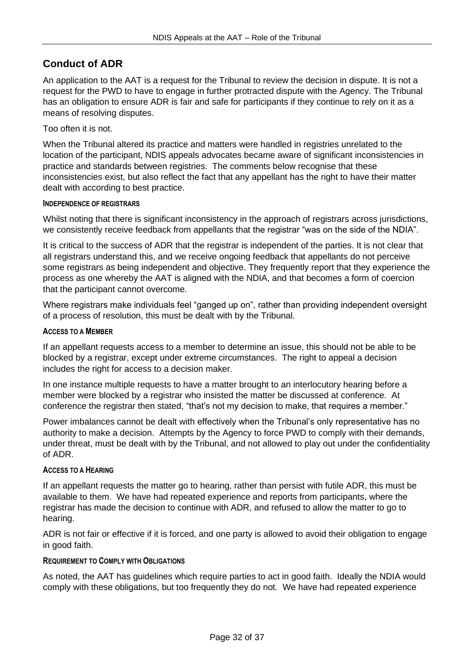# <span id="page-31-0"></span>**Conduct of ADR**

An application to the AAT is a request for the Tribunal to review the decision in dispute. It is not a request for the PWD to have to engage in further protracted dispute with the Agency. The Tribunal has an obligation to ensure ADR is fair and safe for participants if they continue to rely on it as a means of resolving disputes.

Too often it is not.

When the Tribunal altered its practice and matters were handled in registries unrelated to the location of the participant, NDIS appeals advocates became aware of significant inconsistencies in practice and standards between registries. The comments below recognise that these inconsistencies exist, but also reflect the fact that any appellant has the right to have their matter dealt with according to best practice.

### **INDEPENDENCE OF REGISTRARS**

Whilst noting that there is significant inconsistency in the approach of registrars across jurisdictions, we consistently receive feedback from appellants that the registrar "was on the side of the NDIA".

It is critical to the success of ADR that the registrar is independent of the parties. It is not clear that all registrars understand this, and we receive ongoing feedback that appellants do not perceive some registrars as being independent and objective. They frequently report that they experience the process as one whereby the AAT is aligned with the NDIA, and that becomes a form of coercion that the participant cannot overcome.

Where registrars make individuals feel "ganged up on", rather than providing independent oversight of a process of resolution, this must be dealt with by the Tribunal.

### **ACCESS TO A MEMBER**

If an appellant requests access to a member to determine an issue, this should not be able to be blocked by a registrar, except under extreme circumstances. The right to appeal a decision includes the right for access to a decision maker.

In one instance multiple requests to have a matter brought to an interlocutory hearing before a member were blocked by a registrar who insisted the matter be discussed at conference. At conference the registrar then stated, "that's not my decision to make, that requires a member."

Power imbalances cannot be dealt with effectively when the Tribunal's only representative has no authority to make a decision. Attempts by the Agency to force PWD to comply with their demands, under threat, must be dealt with by the Tribunal, and not allowed to play out under the confidentiality of ADR.

#### **ACCESS TO A HEARING**

If an appellant requests the matter go to hearing, rather than persist with futile ADR, this must be available to them. We have had repeated experience and reports from participants, where the registrar has made the decision to continue with ADR, and refused to allow the matter to go to hearing.

ADR is not fair or effective if it is forced, and one party is allowed to avoid their obligation to engage in good faith.

#### **REQUIREMENT TO COMPLY WITH OBLIGATIONS**

As noted, the AAT has guidelines which require parties to act in good faith. Ideally the NDIA would comply with these obligations, but too frequently they do not. We have had repeated experience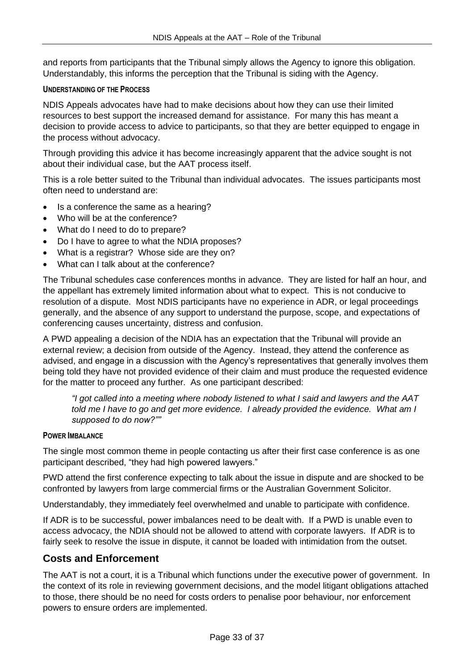and reports from participants that the Tribunal simply allows the Agency to ignore this obligation. Understandably, this informs the perception that the Tribunal is siding with the Agency.

### **UNDERSTANDING OF THE PROCESS**

NDIS Appeals advocates have had to make decisions about how they can use their limited resources to best support the increased demand for assistance. For many this has meant a decision to provide access to advice to participants, so that they are better equipped to engage in the process without advocacy.

Through providing this advice it has become increasingly apparent that the advice sought is not about their individual case, but the AAT process itself.

This is a role better suited to the Tribunal than individual advocates. The issues participants most often need to understand are:

- Is a conference the same as a hearing?
- Who will be at the conference?
- What do I need to do to prepare?
- Do I have to agree to what the NDIA proposes?
- What is a registrar? Whose side are they on?
- What can I talk about at the conference?

The Tribunal schedules case conferences months in advance. They are listed for half an hour, and the appellant has extremely limited information about what to expect. This is not conducive to resolution of a dispute. Most NDIS participants have no experience in ADR, or legal proceedings generally, and the absence of any support to understand the purpose, scope, and expectations of conferencing causes uncertainty, distress and confusion.

A PWD appealing a decision of the NDIA has an expectation that the Tribunal will provide an external review; a decision from outside of the Agency. Instead, they attend the conference as advised, and engage in a discussion with the Agency's representatives that generally involves them being told they have not provided evidence of their claim and must produce the requested evidence for the matter to proceed any further. As one participant described:

*"I got called into a meeting where nobody listened to what I said and lawyers and the AAT told me I have to go and get more evidence. I already provided the evidence. What am I supposed to do now?""*

#### **POWER IMBALANCE**

The single most common theme in people contacting us after their first case conference is as one participant described, "they had high powered lawyers."

PWD attend the first conference expecting to talk about the issue in dispute and are shocked to be confronted by lawyers from large commercial firms or the Australian Government Solicitor.

Understandably, they immediately feel overwhelmed and unable to participate with confidence.

If ADR is to be successful, power imbalances need to be dealt with. If a PWD is unable even to access advocacy, the NDIA should not be allowed to attend with corporate lawyers. If ADR is to fairly seek to resolve the issue in dispute, it cannot be loaded with intimidation from the outset.

### <span id="page-32-0"></span>**Costs and Enforcement**

The AAT is not a court, it is a Tribunal which functions under the executive power of government. In the context of its role in reviewing government decisions, and the model litigant obligations attached to those, there should be no need for costs orders to penalise poor behaviour, nor enforcement powers to ensure orders are implemented.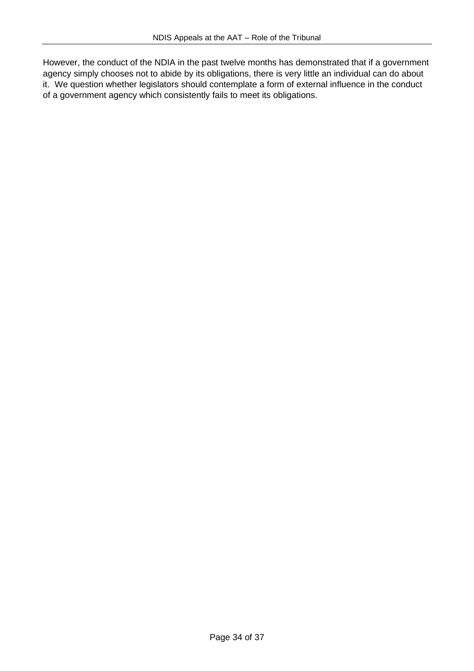However, the conduct of the NDIA in the past twelve months has demonstrated that if a government agency simply chooses not to abide by its obligations, there is very little an individual can do about it. We question whether legislators should contemplate a form of external influence in the conduct of a government agency which consistently fails to meet its obligations.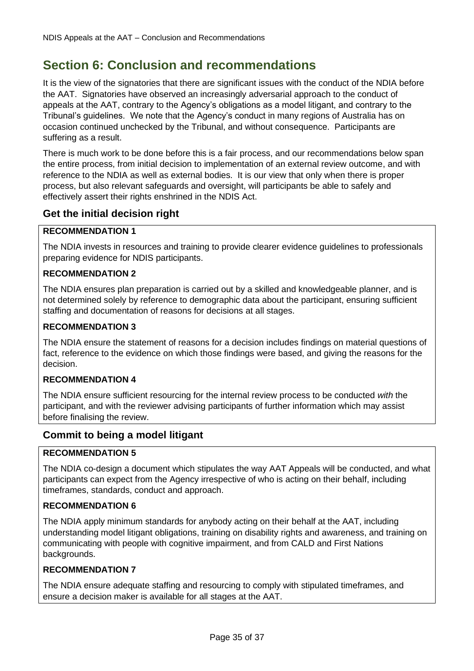# <span id="page-34-0"></span>**Section 6: Conclusion and recommendations**

It is the view of the signatories that there are significant issues with the conduct of the NDIA before the AAT. Signatories have observed an increasingly adversarial approach to the conduct of appeals at the AAT, contrary to the Agency's obligations as a model litigant, and contrary to the Tribunal's guidelines. We note that the Agency's conduct in many regions of Australia has on occasion continued unchecked by the Tribunal, and without consequence. Participants are suffering as a result.

There is much work to be done before this is a fair process, and our recommendations below span the entire process, from initial decision to implementation of an external review outcome, and with reference to the NDIA as well as external bodies. It is our view that only when there is proper process, but also relevant safeguards and oversight, will participants be able to safely and effectively assert their rights enshrined in the NDIS Act.

### <span id="page-34-1"></span>**Get the initial decision right**

### **RECOMMENDATION 1**

The NDIA invests in resources and training to provide clearer evidence guidelines to professionals preparing evidence for NDIS participants.

### **RECOMMENDATION 2**

The NDIA ensures plan preparation is carried out by a skilled and knowledgeable planner, and is not determined solely by reference to demographic data about the participant, ensuring sufficient staffing and documentation of reasons for decisions at all stages.

### **RECOMMENDATION 3**

The NDIA ensure the statement of reasons for a decision includes findings on material questions of fact, reference to the evidence on which those findings were based, and giving the reasons for the decision.

### **RECOMMENDATION 4**

The NDIA ensure sufficient resourcing for the internal review process to be conducted *with* the participant, and with the reviewer advising participants of further information which may assist before finalising the review.

### <span id="page-34-2"></span>**Commit to being a model litigant**

### **RECOMMENDATION 5**

The NDIA co-design a document which stipulates the way AAT Appeals will be conducted, and what participants can expect from the Agency irrespective of who is acting on their behalf, including timeframes, standards, conduct and approach.

#### **RECOMMENDATION 6**

The NDIA apply minimum standards for anybody acting on their behalf at the AAT, including understanding model litigant obligations, training on disability rights and awareness, and training on communicating with people with cognitive impairment, and from CALD and First Nations backgrounds.

#### **RECOMMENDATION 7**

The NDIA ensure adequate staffing and resourcing to comply with stipulated timeframes, and ensure a decision maker is available for all stages at the AAT.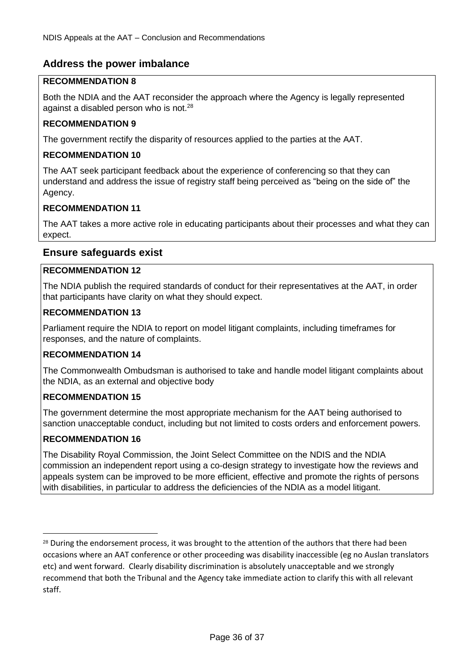# <span id="page-35-0"></span>**Address the power imbalance**

### **RECOMMENDATION 8**

Both the NDIA and the AAT reconsider the approach where the Agency is legally represented against a disabled person who is not. $28$ 

### **RECOMMENDATION 9**

The government rectify the disparity of resources applied to the parties at the AAT.

### **RECOMMENDATION 10**

The AAT seek participant feedback about the experience of conferencing so that they can understand and address the issue of registry staff being perceived as "being on the side of" the Agency.

### **RECOMMENDATION 11**

The AAT takes a more active role in educating participants about their processes and what they can expect.

### <span id="page-35-1"></span>**Ensure safeguards exist**

### **RECOMMENDATION 12**

The NDIA publish the required standards of conduct for their representatives at the AAT, in order that participants have clarity on what they should expect.

### **RECOMMENDATION 13**

Parliament require the NDIA to report on model litigant complaints, including timeframes for responses, and the nature of complaints.

### **RECOMMENDATION 14**

The Commonwealth Ombudsman is authorised to take and handle model litigant complaints about the NDIA, as an external and objective body

### **RECOMMENDATION 15**

The government determine the most appropriate mechanism for the AAT being authorised to sanction unacceptable conduct, including but not limited to costs orders and enforcement powers.

### **RECOMMENDATION 16**

The Disability Royal Commission, the Joint Select Committee on the NDIS and the NDIA commission an independent report using a co-design strategy to investigate how the reviews and appeals system can be improved to be more efficient, effective and promote the rights of persons with disabilities, in particular to address the deficiencies of the NDIA as a model litigant.

<sup>&</sup>lt;sup>28</sup> During the endorsement process, it was brought to the attention of the authors that there had been occasions where an AAT conference or other proceeding was disability inaccessible (eg no Auslan translators etc) and went forward. Clearly disability discrimination is absolutely unacceptable and we strongly recommend that both the Tribunal and the Agency take immediate action to clarify this with all relevant staff.